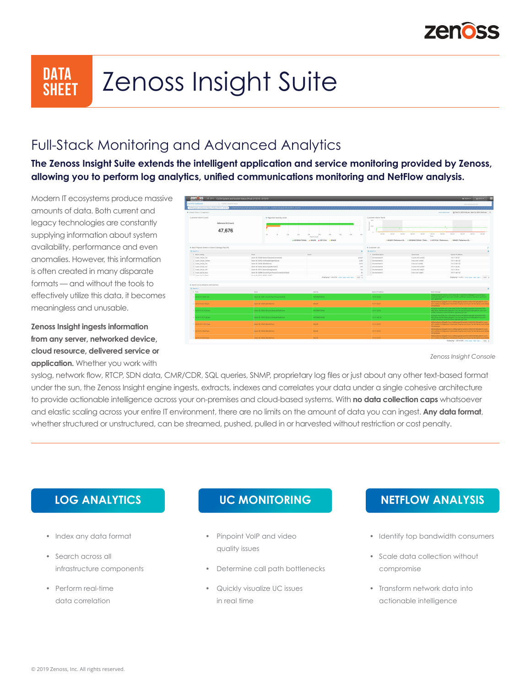

# **DATA Zenoss Insight Suite**

#### Full-Stack Monitoring and Advanced Analytics

**The Zenoss Insight Suite extends the intelligent application and service monitoring provided by Zenoss, allowing you to perform log analytics, unified communications monitoring and NetFlow analysis.**

Modern IT ecosystems produce massive amounts of data. Both current and legacy technologies are constantly supplying information about system availability, performance and even anomalies. However, this information is often created in many disparate formats — and without the tools to effectively utilize this data, it becomes meaningless and unusable.

**Zenoss Insight ingests information from any server, networked device, cloud resource, delivered service or application.** Whether you work with



*Zenoss Insight Console*

syslog, network flow, RTCP, SDN data, CMR/CDR, SQL queries, SNMP, proprietary log files or just about any other text-based format under the sun, the Zenoss Insight engine ingests, extracts, indexes and correlates your data under a single cohesive architecture to provide actionable intelligence across your on-premises and cloud-based systems. With **no data collection caps** whatsoever and elastic scaling across your entire IT environment, there are no limits on the amount of data you can ingest. **Any data format**, whether structured or unstructured, can be streamed, pushed, pulled in or harvested without restriction or cost penalty.

- Index any data format
- Search across all infrastructure components
- Perform real-time data correlation

- Pinpoint VoIP and video quality issues
- Determine call path bottlenecks
- Quickly visualize UC issues in real time

#### **LOG ANALYTICS UC MONITORING NETFLOW ANALYSIS**

- Identify top bandwidth consumers
- Scale data collection without compromise
- Transform network data into actionable intelligence